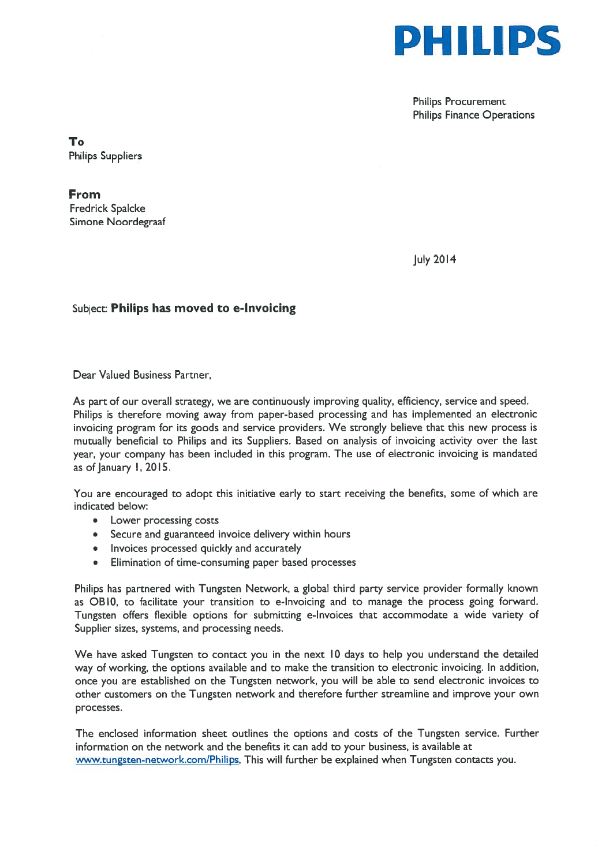

Philips Procurement Philips Finance Operations

To Philips Suppliers

From Fredrick Spalcke Simone Noordegraaf

July 2014

#### Subject: Philips has moved to e-lnvoicing

Dear Valued Business Partner,

As par<sup>t</sup> of our overall strategy, we are continuously improving quality, efficiency, service and speed. Philips is therefore moving away from paper-based processing and has implemented an electronic invoicing program for its goods and service providers. We strongly believe that this new process is mutually beneficial to Philips and its Suppliers. Based on analysis of invoicing activity over the last year, your company has been included in this program. The use of electronic invoicing is mandated as of January 1, 2015.

You are encouraged to adopt this initiative early to start receiving the benefits, some of which are indicated below:

- Lower processing costs
- Secure and guaranteed invoice delivery within hours
- Invoices processed quickly and accurately
- Elimination of time-consuming paper based processes

Philips has partnered with Tungsten Network, <sup>a</sup> global third party service provider formally known as OBlO, to facilitate your transition to e-Invoicing and to manage the process going forward. Tungsten offers flexible options for submitting e-Invoices that accommodate <sup>a</sup> wide variety of Supplier sizes, systems, and processing needs.

We have asked Tungsten to contact you in the next 10 days to help you understand the detailed way of working, the options available and to make the transition to electronic invoicing. In addition, once you are established on the Tungsten network, you will be able to send electronic invoices to other customers on the Tungsten network and therefore further streamline and improve your own processes.

The enclosed information sheet outlines the options and costs of the Tungsten service. Further information on the network and the benefits it can add to your business, is available at www.tungsten-network.com/Philips. This will further be explained when Tungsten contacts you.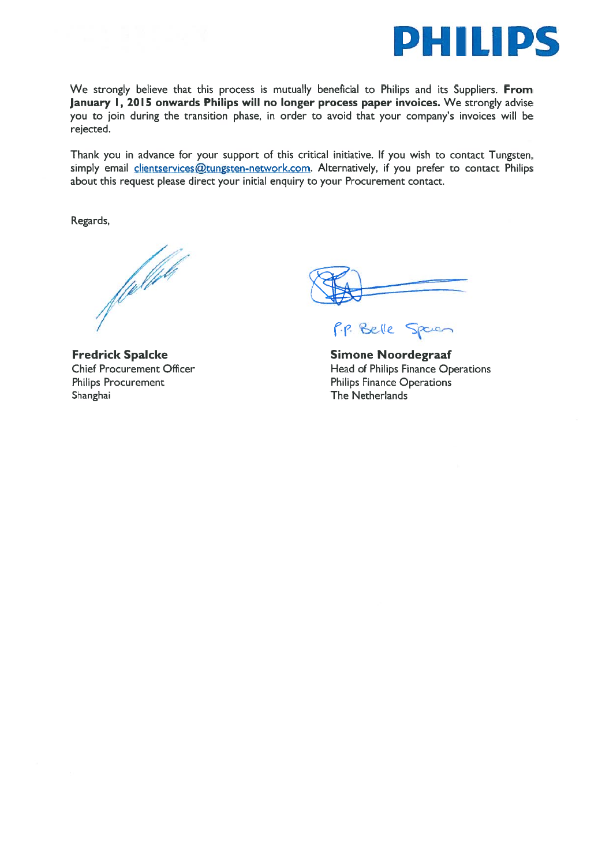

We strongly believe that this process is mutually beneficial to Philips and its Suppliers. From January 1, 2015 onwards Philips will no longer process paper invoices. We strongly advise you to join during the transition phase, in order to avoid that your company's invoices will be rejected.

Thank you in advance for your suppor<sup>t</sup> of this critical initiative, If you wish to contact Tungsten, simply email clientservices@tungsten-network.com. Alternatively, if you prefer to contact Philips about this reques<sup>t</sup> please direct your initial enquiry to your Procurement contact.

Regards,

f fyli*ft* 

Fredrick Spalcke Chief Procurement Officer Philips Procurement Shanghai **The Netherlands** 

P.P. Belle Spacen

Simone Noordegraaf Head of Philips Finance Operations Philips Finance Operations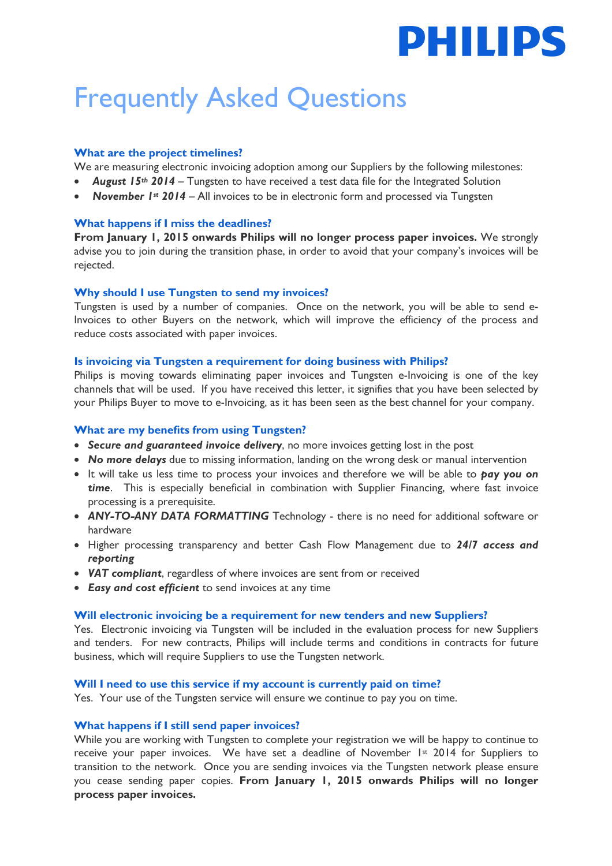# **PHILIPS**

## Frequently Asked Questions

#### What are the project timelines?

We are measuring electronic invoicing adoption among our Suppliers by the following milestones:

- **August 15th 2014** Tungsten to have received a test data file for the Integrated Solution
- **November Ist 2014 All invoices to be in electronic form and processed via Tungsten**

#### What happens if I miss the deadlines?

From January 1, 2015 onwards Philips will no longer process paper invoices. We strongly advise you to join during the transition phase, in order to avoid that your company's invoices will be rejected.

#### Why should I use Tungsten to send my invoices?

Tungsten is used by a number of companies. Once on the network, you will be able to send e-Invoices to other Buyers on the network, which will improve the efficiency of the process and reduce costs associated with paper invoices.

#### Is invoicing via Tungsten a requirement for doing business with Philips?

Philips is moving towards eliminating paper invoices and Tungsten e-Invoicing is one of the key channels that will be used. If you have received this letter, it signifies that you have been selected by your Philips Buyer to move to e-Invoicing, as it has been seen as the best channel for your company.

#### What are my benefits from using Tungsten?

- Secure and guaranteed invoice delivery, no more invoices getting lost in the post
- No more delays due to missing information, landing on the wrong desk or manual intervention
- It will take us less time to process your invoices and therefore we will be able to pay you on time. This is especially beneficial in combination with Supplier Financing, where fast invoice processing is a prerequisite.
- ANY-TO-ANY DATA FORMATTING Technology there is no need for additional software or hardware
- Higher processing transparency and better Cash Flow Management due to 24/7 access and reporting
- VAT compliant, regardless of where invoices are sent from or received
- Easy and cost efficient to send invoices at any time

#### Will electronic invoicing be a requirement for new tenders and new Suppliers?

Yes. Electronic invoicing via Tungsten will be included in the evaluation process for new Suppliers and tenders. For new contracts, Philips will include terms and conditions in contracts for future business, which will require Suppliers to use the Tungsten network.

#### Will I need to use this service if my account is currently paid on time?

Yes. Your use of the Tungsten service will ensure we continue to pay you on time.

#### What happens if I still send paper invoices?

While you are working with Tungsten to complete your registration we will be happy to continue to receive your paper invoices. We have set a deadline of November 1st 2014 for Suppliers to transition to the network. Once you are sending invoices via the Tungsten network please ensure you cease sending paper copies. From January 1, 2015 onwards Philips will no longer process paper invoices.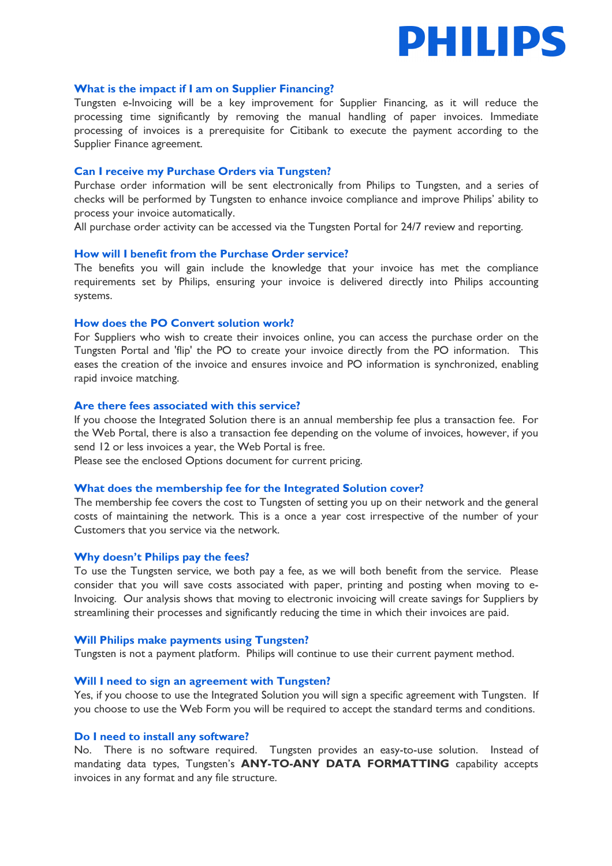

#### What is the impact if I am on Supplier Financing?

Tungsten e-lnvoicing will be a key improvement for Supplier Financing, as it will reduce the processing time significantly by removing the manual handling of paper invoices. Immediate processing of invoices is a prerequisite for Citibank to execute the payment according to the Supplier Finance agreement.

#### Can I receive my Purchase Orders via Tungsten?

Purchase order information will be sent electronically from Philips to Tungsten, and a series of checks will be performed by Tungsten to enhance invoice compliance and improve Philips' ability to process your invoice automatically.

All purchase order activity can be accessed via the Tungsten Portal for 24/7 review and reporting.

#### How will I benefit from the Purchase Order service?

The benefits you will gain include the knowledge that your invoice has met the compliance requirements set by Philips, ensuring your invoice is delivered directly into Philips accounting systems.

#### How does the PO Convert solution work?

For Suppliers who wish to create their invoices online, you can access the purchase order on the Tungsten Portal and 'flip' the PO to create your invoice directly from the PO information. This eases the creation of the invoice and ensures invoice and PO information is synchronized, enabling rapid invoice matching.

#### Are there fees associated with this service?

If you choose the Integrated Solution there is an annual membership fee plus a transaction fee. For the Web Portal, there is also a transaction fee depending on the volume of invoices, however, if you send 12 or less invoices a year, the Web Portal is free.

Please see the enclosed Options document for current pricing.

#### What does the membership fee for the Integrated Solution cover?

The membership fee covers the cost to Tungsten of setting you up on their network and the general costs of maintaining the network. This is a once a year cost irrespective of the number of your Customers that you service via the network.

#### Why doesn't Philips pay the fees?

To use the Tungsten service, we both pay a fee, as we will both benefit from the service. Please consider that you will save costs associated with paper, printing and posting when moving to e-Invoicing. Our analysis shows that moving to electronic invoicing will create savings for Suppliers by streamlining their processes and significantly reducing the time in which their invoices are paid.

#### Will Philips make payments using Tungsten?

Tungsten is not a payment platform. Philips will continue to use their current payment method.

#### Will I need to sign an agreement with Tungsten?

Yes, if you choose to use the Integrated Solution you will sign a specific agreement with Tungsten. If you choose to use the Web Form you will be required to accept the standard terms and conditions.

#### Do I need to install any software?

No. There is no software required. Tungsten provides an easy-to-use solution. Instead of mandating data types, Tungsten's ANY-TO-ANY DATA FORMATTING capability accepts invoices in any format and any file structure.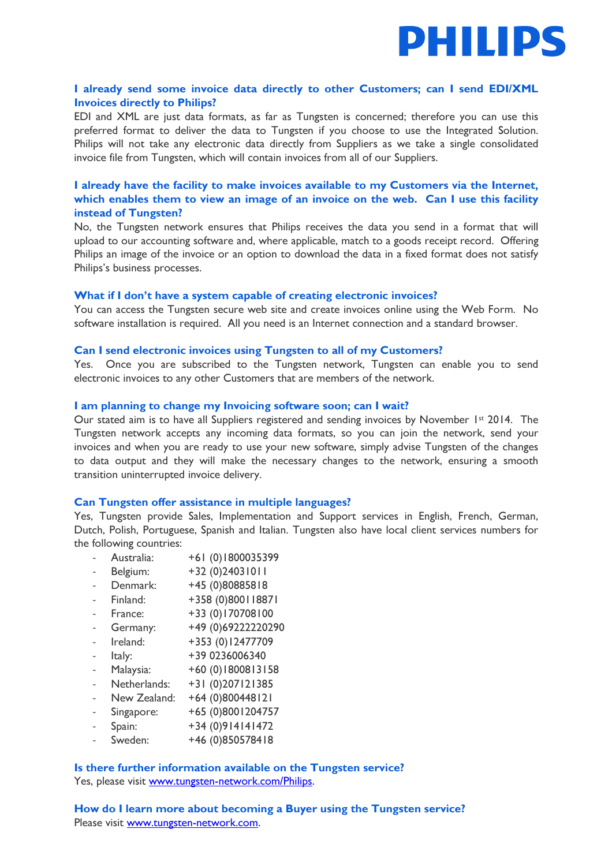

#### I already send some invoice data directly to other Customers; can I send EDI/XML Invoices directly to Philips?

EDI and XML are just data formats, as far as Tungsten is concerned; therefore you can use this preferred format to deliver the data to Tungsten if you choose to use the Integrated Solution. Philips will not take any electronic data directly from Suppliers as we take a single consolidated invoice file from Tungsten, which will contain invoices from all of our Suppliers.

#### I already have the facility to make invoices available to my Customers via the Internet, which enables them to view an image of an invoice on the web. Can I use this facility instead of Tungsten?

No, the Tungsten network ensures that Philips receives the data you send in a format that will upload to our accounting software and, where applicable, match to a goods receipt record. Offering Philips an image of the invoice or an option to download the data in a fixed format does not satisfy Philips's business processes.

#### What if I don't have a system capable of creating electronic invoices?

You can access the Tungsten secure web site and create invoices online using the Web Form. No software installation is required. All you need is an Internet connection and a standard browser.

#### Can I send electronic invoices using Tungsten to all of my Customers?

Yes. Once you are subscribed to the Tungsten network, Tungsten can enable you to send electronic invoices to any other Customers that are members of the network.

#### I am planning to change my Invoicing software soon; can I wait?

Our stated aim is to have all Suppliers registered and sending invoices by November 1st 2014. The Tungsten network accepts any incoming data formats, so you can join the network, send your invoices and when you are ready to use your new software, simply advise Tungsten of the changes to data output and they will make the necessary changes to the network, ensuring a smooth transition uninterrupted invoice delivery.

#### Can Tungsten offer assistance in multiple languages?

Yes, Tungsten provide Sales, Implementation and Support services in English, French, German, Dutch, Polish, Portuguese, Spanish and Italian. Tungsten also have local client services numbers for the following countries:

- Australia: +61 (0)1800035399
- Belgium: +32 (0)24031011
- Denmark: +45 (0)80885818
- Finland: +358 (0)800118871
- France: +33 (0)170708100
- Germany: +49 (0)692222220290
- Ireland: +353 (0)12477709
- Italy: +39 0236006340
- Malaysia: +60 (0)1800813158
- Netherlands: +31 (0)207121385
- New Zealand: +64 (0)800448121
- Singapore: +65 (0)8001204757
- Spain: +34 (0)914141472
- Sweden: +46 (0)850578418

Is there further information available on the Tungsten service? Yes, please visit www.tungsten-network.com/Philips.

How do I learn more about becoming a Buyer using the Tungsten service? Please visit www.tungsten-network.com.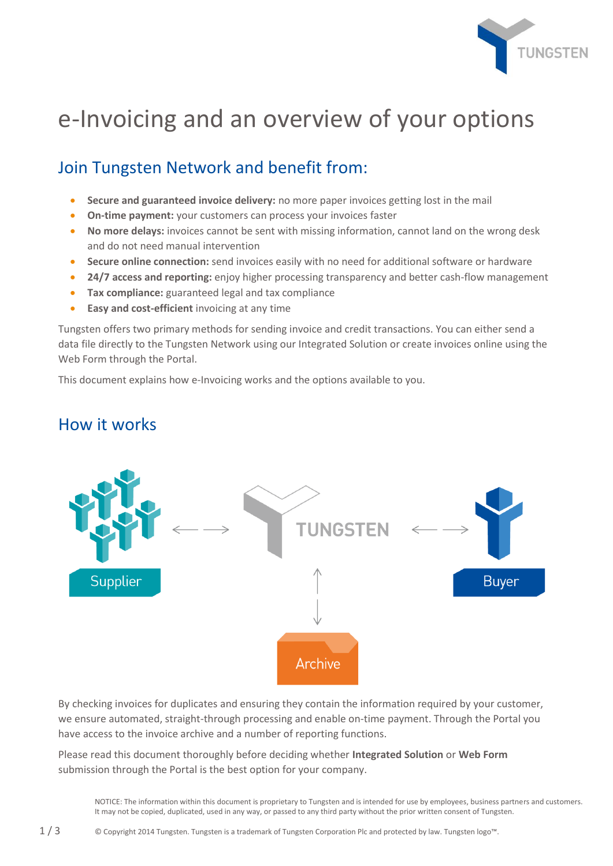

## e-Invoicing and an overview of your options

### Join Tungsten Network and benefit from:

- **Secure and guaranteed invoice delivery:** no more paper invoices getting lost in the mail
- **On-time payment:** your customers can process your invoices faster
- **No more delays:** invoices cannot be sent with missing information, cannot land on the wrong desk and do not need manual intervention
- **Secure online connection:** send invoices easily with no need for additional software or hardware
- **24/7 access and reporting:** enjoy higher processing transparency and better cash-flow management
- **Tax compliance:** guaranteed legal and tax compliance
- **Easy and cost-efficient** invoicing at any time

Tungsten offers two primary methods for sending invoice and credit transactions. You can either send a data file directly to the Tungsten Network using our Integrated Solution or create invoices online using the Web Form through the Portal.

This document explains how e-Invoicing works and the options available to you.

### How it works



By checking invoices for duplicates and ensuring they contain the information required by your customer, we ensure automated, straight-through processing and enable on-time payment. Through the Portal you have access to the invoice archive and a number of reporting functions.

Please read this document thoroughly before deciding whether **Integrated Solution** or **Web Form** submission through the Portal is the best option for your company.

NOTICE: The information within this document is proprietary to Tungsten and is intended for use by employees, business partners and customers. It may not be copied, duplicated, used in any way, or passed to any third party without the prior written consent of Tungsten.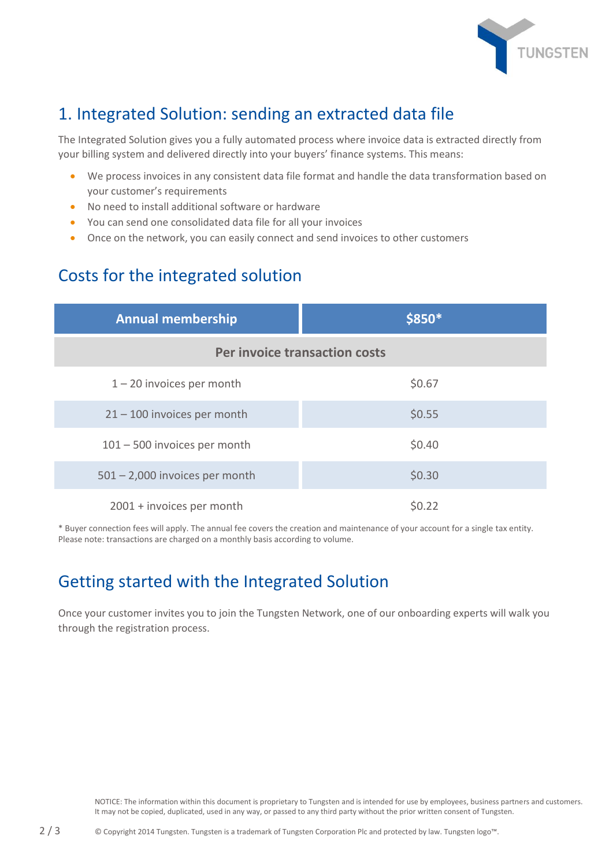

## 1. Integrated Solution: sending an extracted data file

The Integrated Solution gives you a fully automated process where invoice data is extracted directly from your billing system and delivered directly into your buyers' finance systems. This means:

- We process invoices in any consistent data file format and handle the data transformation based on your customer's requirements
- No need to install additional software or hardware
- You can send one consolidated data file for all your invoices
- Once on the network, you can easily connect and send invoices to other customers

## Costs for the integrated solution

| <b>Annual membership</b>         | \$850* |  |
|----------------------------------|--------|--|
| Per invoice transaction costs    |        |  |
| $1 - 20$ invoices per month      | \$0.67 |  |
| $21 - 100$ invoices per month    | \$0.55 |  |
| $101 - 500$ invoices per month   | \$0.40 |  |
| $501 - 2,000$ invoices per month | \$0.30 |  |
| 2001 + invoices per month        | \$0.22 |  |

\* Buyer connection fees will apply. The annual fee covers the creation and maintenance of your account for a single tax entity. Please note: transactions are charged on a monthly basis according to volume.

## Getting started with the Integrated Solution

Once your customer invites you to join the Tungsten Network, one of our onboarding experts will walk you through the registration process.

NOTICE: The information within this document is proprietary to Tungsten and is intended for use by employees, business partners and customers. It may not be copied, duplicated, used in any way, or passed to any third party without the prior written consent of Tungsten.